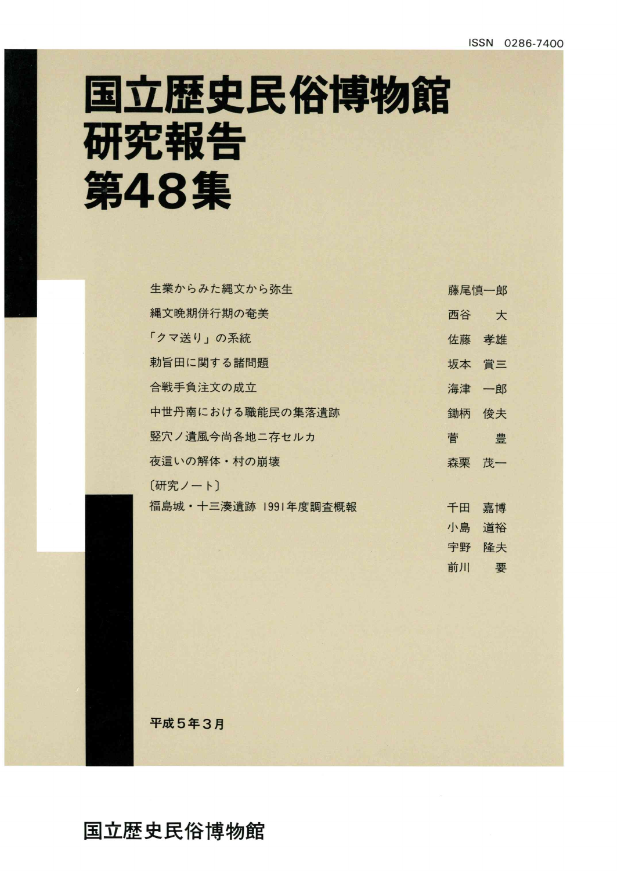# 国立歴史民俗博物館 研究報告 第48集

| 生業からみた縄文から弥生         | 藤尾慎一郎 |    |
|----------------------|-------|----|
| 縄文晩期併行期の奄美           | 西谷    | 大  |
| 「クマ送り」の系統            | 佐藤    | 孝雄 |
| 勅旨田に関する諸問題           | 坂本    | 賞三 |
| 合戦手負注文の成立            | 海津 一郎 |    |
| 中世丹南における職能民の集落遺跡     | 鋤柄    | 俊夫 |
| 竪穴ノ遺風今尚各地ニ存セルカ       | 菅     | 豊  |
| 夜這いの解体・村の崩壊          | 森栗    | 茂一 |
| [研究ノート]              |       |    |
| 福島城·十三湊遺跡 1991年度調査概報 | 千田    | 嘉博 |
|                      | 小島    | 道裕 |
|                      | 宇野    | 降夫 |
|                      | 前川    | 要  |

平成5年3月

国立歴史民俗博物館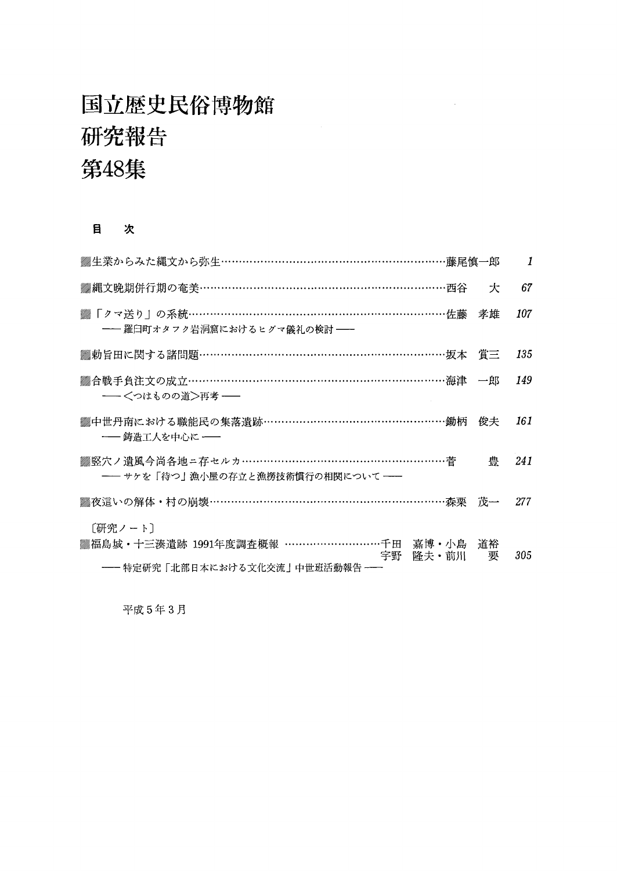### 国立歴史民俗博物館 研究報告 第48集

#### 目 次

| ▓生業からみた縄文から弥生……………………………………………………藤尾慎一郎                                                                     |   | $\overline{1}$ |
|------------------------------------------------------------------------------------------------------------|---|----------------|
| ▒縄文晩期併行期の奄美…………………………………………………………西谷                                                                        | 仧 | 67             |
| ▒ 「クマ送り」の系統……………………………………………………………佐藤 孝雄<br>―― 羅臼町オタフク岩洞窟におけるヒグマ儀礼の検討 ――                                    |   | 107            |
| ▒勅旨田に関する諸問題……………………………………………………………坂本 賞三                                                                    |   | 135            |
| ▓合戦手負注文の成立…………………………………………………………………… 海津 一郎<br>―― <つはものの道>再考 ――                                             |   | 149            |
| ▒中世丹南における職能民の集落遺跡……………………………………………鋤柄 俊夫<br>―― 鋳造工人を中心に ――                                                  |   | 161            |
| ▒竪穴ノ遺風今尚各地ニ存セルカ…………………………………………………菅<br>―― サケを「待つ」漁小屋の存立と漁撈技術慣行の相関について ――                                   | 豊 | 241            |
| ▒夜這いの解体・村の崩壊……………………………………………………………森栗 茂一  277                                                              |   |                |
| [研究ノート]<br>▓福島城 · 十三湊遺跡 1991年度調査概報 ………………………千田 嘉博 · 小島 道裕<br>宇野 隆夫・前川 要<br>―― 特定研究「北部日本における文化交流」中世班活動報告 ―― |   | 305            |

 $\sim$ 

平成5年3月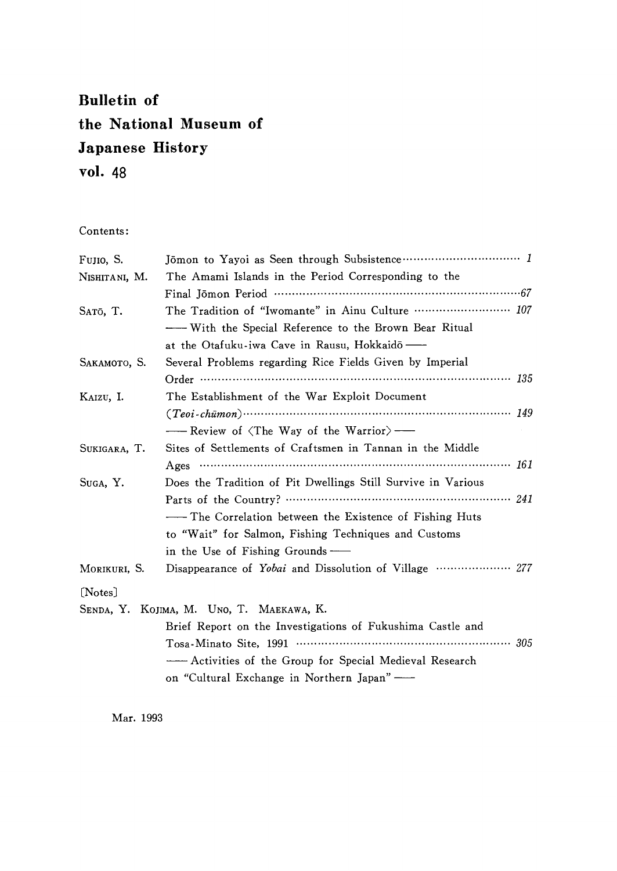### Bulletin of the National Museum of Japanese History vo1.48

Contents:

| Fujio, S.     |                                                              |  |
|---------------|--------------------------------------------------------------|--|
| Nishitani, M. | The Amami Islands in the Period Corresponding to the         |  |
|               |                                                              |  |
| SATŌ, T.      | The Tradition of "Iwomante" in Ainu Culture  107             |  |
|               | - With the Special Reference to the Brown Bear Ritual        |  |
|               | at the Otafuku-iwa Cave in Rausu, Hokkaidō —                 |  |
| SAKAMOTO, S.  | Several Problems regarding Rice Fields Given by Imperial     |  |
|               |                                                              |  |
| KAIZU, I.     | The Establishment of the War Exploit Document                |  |
|               | $(Teoi-chūmon)$ $(Teoi-chūmon)$ $149$                        |  |
|               | -- Review of $\langle$ The Way of the Warrior $\rangle$ -    |  |
| SUKIGARA, T.  | Sites of Settlements of Craftsmen in Tannan in the Middle    |  |
|               | Ages $\cdots$ 161                                            |  |
| Suga, Y.      | Does the Tradition of Pit Dwellings Still Survive in Various |  |
|               |                                                              |  |
|               | - The Correlation between the Existence of Fishing Huts      |  |
|               | to "Wait" for Salmon, Fishing Techniques and Customs         |  |
|               | in the Use of Fishing Grounds —                              |  |
| MORIKURI, S.  | Disappearance of Yobai and Dissolution of Village  277       |  |
| [Notes]       |                                                              |  |
|               | SENDA, Y. KOJIMA, M. UNO, T. MAEKAWA, K.                     |  |
|               | Brief Report on the Investigations of Fukushima Castle and   |  |
|               |                                                              |  |
|               |                                                              |  |
|               | on "Cultural Exchange in Northern Japan" -                   |  |

Mar.1993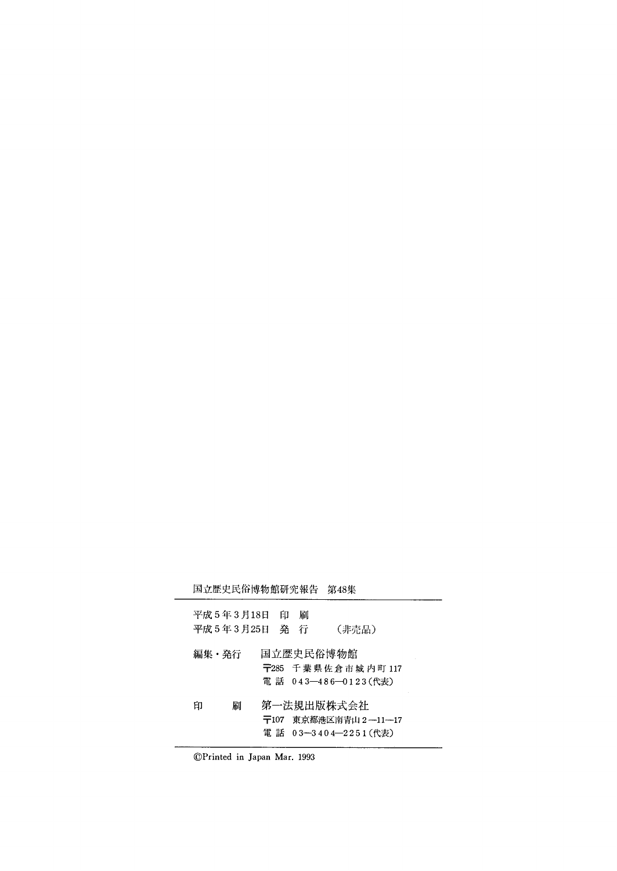|       | 国立歴史民俗博物館研究報告               |   |          | 第48集                                       |  |
|-------|-----------------------------|---|----------|--------------------------------------------|--|
|       | 平成 5 年 3 月18日<br>平成 5年3月25日 | 印 | 刷<br>発 行 | (非売品)                                      |  |
| 編集・発行 |                             |   |          | 国立歴史民俗博物館                                  |  |
|       |                             |   |          | 〒285 千葉県佐倉市城内町 117<br>電 話 043―486―0123(代表) |  |
| 印     | 刷                           |   |          | 第一法規出版株式会社                                 |  |
|       |                             |   |          | 〒107 東京都港区南青山2―11―17                       |  |
|       |                             |   |          | 電話 03-3404-2251(代表)                        |  |

⑥Printed in Japan Mar.1993